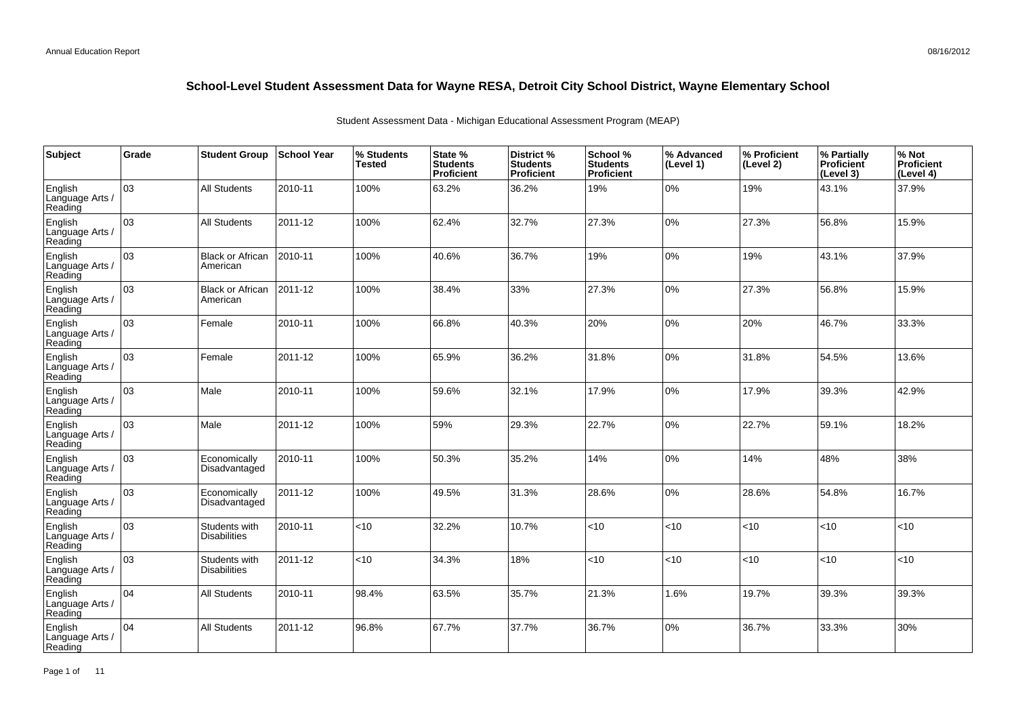| Subject                               | Grade | <b>Student Group</b>                 | School Year | % Students<br><b>Tested</b> | State %<br><b>Students</b><br>Proficient | District %<br><b>Students</b><br>Proficient | School %<br><b>Students</b><br><b>Proficient</b> | % Advanced<br>(Level 1) | % Proficient<br>(Level 2) | % Partially<br>Proficient<br>(Level 3) | % Not<br>Proficient<br>(Level 4) |
|---------------------------------------|-------|--------------------------------------|-------------|-----------------------------|------------------------------------------|---------------------------------------------|--------------------------------------------------|-------------------------|---------------------------|----------------------------------------|----------------------------------|
| English<br>Language Arts /<br>Reading | 03    | All Students                         | 2010-11     | 100%                        | 63.2%                                    | 36.2%                                       | 19%                                              | 0%                      | 19%                       | 43.1%                                  | 37.9%                            |
| English<br>Language Arts /<br>Reading | 03    | <b>All Students</b>                  | 2011-12     | 100%                        | 62.4%                                    | 32.7%                                       | 27.3%                                            | 0%                      | 27.3%                     | 56.8%                                  | 15.9%                            |
| English<br>Language Arts /<br>Reading | 03    | <b>Black or African</b><br>American  | 2010-11     | 100%                        | 40.6%                                    | 36.7%                                       | 19%                                              | $0\%$                   | 19%                       | 43.1%                                  | 37.9%                            |
| English<br>Language Arts /<br>Reading | 03    | <b>Black or African</b><br>American  | 2011-12     | 100%                        | 38.4%                                    | 33%                                         | 27.3%                                            | 0%                      | 27.3%                     | 56.8%                                  | 15.9%                            |
| English<br>Language Arts /<br>Reading | 03    | Female                               | 2010-11     | 100%                        | 66.8%                                    | 40.3%                                       | 20%                                              | 0%                      | 20%                       | 46.7%                                  | 33.3%                            |
| English<br>Language Arts /<br>Reading | 03    | Female                               | 2011-12     | 100%                        | 65.9%                                    | 36.2%                                       | 31.8%                                            | 0%                      | 31.8%                     | 54.5%                                  | 13.6%                            |
| English<br>Language Arts /<br>Reading | 03    | Male                                 | 2010-11     | 100%                        | 59.6%                                    | 32.1%                                       | 17.9%                                            | 0%                      | 17.9%                     | 39.3%                                  | 42.9%                            |
| English<br>Language Arts<br>Reading   | 03    | Male                                 | 2011-12     | 100%                        | 59%                                      | 29.3%                                       | 22.7%                                            | 0%                      | 22.7%                     | 59.1%                                  | 18.2%                            |
| English<br>Language Arts<br>Reading   | 03    | Economically<br>Disadvantaged        | 2010-11     | 100%                        | 50.3%                                    | 35.2%                                       | 14%                                              | 0%                      | 14%                       | 48%                                    | 38%                              |
| English<br>Language Arts<br>Reading   | 03    | Economically<br>Disadvantaged        | 2011-12     | 100%                        | 49.5%                                    | 31.3%                                       | 28.6%                                            | 0%                      | 28.6%                     | 54.8%                                  | 16.7%                            |
| English<br>Language Arts<br>Reading   | 03    | Students with<br><b>Disabilities</b> | 2010-11     | < 10                        | 32.2%                                    | 10.7%                                       | <10                                              | <10                     | <10                       | <10                                    | <10                              |
| English<br>Language Arts<br>Reading   | 03    | Students with<br><b>Disabilities</b> | 2011-12     | <10                         | 34.3%                                    | 18%                                         | <10                                              | <10                     | <10                       | $ $ < 10                               | <10                              |
| English<br>Language Arts<br>Reading   | 04    | <b>All Students</b>                  | 2010-11     | 98.4%                       | 63.5%                                    | 35.7%                                       | 21.3%                                            | 1.6%                    | 19.7%                     | 39.3%                                  | 39.3%                            |
| English<br>Language Arts<br>Reading   | 04    | <b>All Students</b>                  | 2011-12     | 96.8%                       | 67.7%                                    | 37.7%                                       | 36.7%                                            | $0\%$                   | 36.7%                     | 33.3%                                  | 30%                              |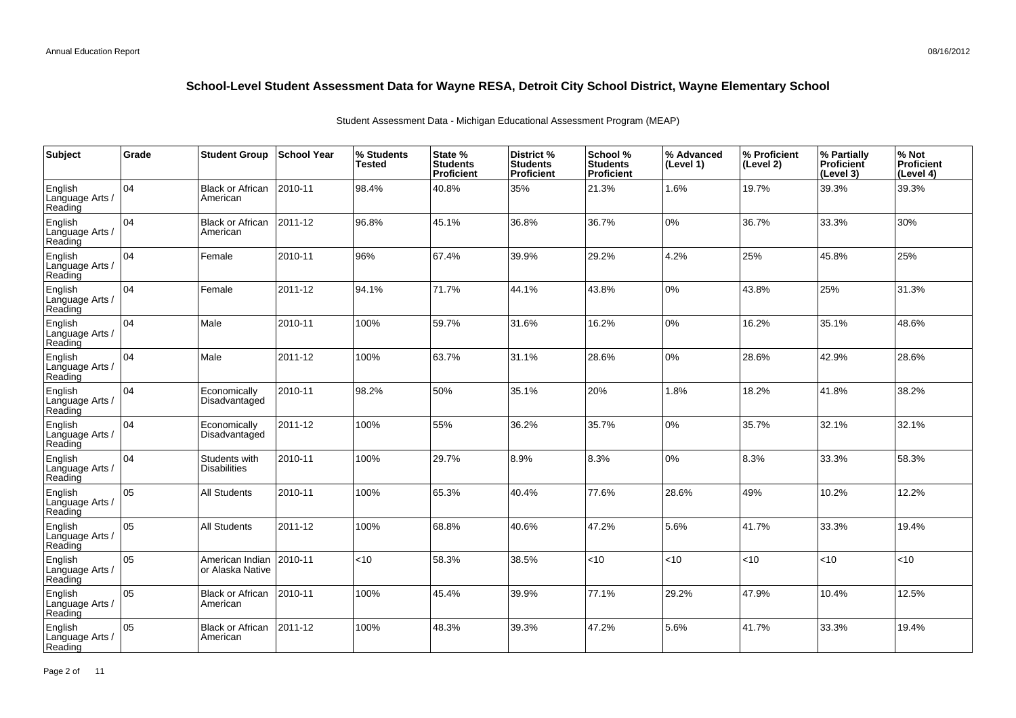| Subject                               | Grade | <b>Student Group</b>                 | <b>School Year</b> | % Students<br><b>Tested</b> | State %<br><b>Students</b><br>Proficient | District %<br><b>Students</b><br><b>Proficient</b> | School %<br><b>Students</b><br><b>Proficient</b> | % Advanced<br>(Level 1) | % Proficient<br>(Level 2) | % Partially<br><b>Proficient</b><br>(Level 3) | % Not<br><b>Proficient</b><br>(Level 4) |
|---------------------------------------|-------|--------------------------------------|--------------------|-----------------------------|------------------------------------------|----------------------------------------------------|--------------------------------------------------|-------------------------|---------------------------|-----------------------------------------------|-----------------------------------------|
| English<br>Language Arts /<br>Reading | 04    | <b>Black or African</b><br>American  | 2010-11            | 98.4%                       | 40.8%                                    | 35%                                                | 21.3%                                            | 1.6%                    | 19.7%                     | 39.3%                                         | 39.3%                                   |
| English<br>Language Arts /<br>Reading | 04    | <b>Black or African</b><br>American  | 2011-12            | 96.8%                       | 45.1%                                    | 36.8%                                              | 36.7%                                            | 0%                      | 36.7%                     | 33.3%                                         | 30%                                     |
| English<br>Language Arts /<br>Reading | 04    | Female                               | 2010-11            | 96%                         | 67.4%                                    | 39.9%                                              | 29.2%                                            | 4.2%                    | 25%                       | 45.8%                                         | 25%                                     |
| English<br>Language Arts /<br>Reading | 04    | Female                               | 2011-12            | 94.1%                       | 71.7%                                    | 44.1%                                              | 43.8%                                            | 0%                      | 43.8%                     | 25%                                           | 31.3%                                   |
| English<br>Language Arts /<br>Reading | 04    | Male                                 | 2010-11            | 100%                        | 59.7%                                    | 31.6%                                              | 16.2%                                            | 0%                      | 16.2%                     | 35.1%                                         | 48.6%                                   |
| English<br>Language Arts /<br>Reading | 04    | Male                                 | 2011-12            | 100%                        | 63.7%                                    | 31.1%                                              | 28.6%                                            | 0%                      | 28.6%                     | 42.9%                                         | 28.6%                                   |
| English<br>Language Arts /<br>Reading | 04    | Economically<br>Disadvantaged        | 2010-11            | 98.2%                       | 50%                                      | 35.1%                                              | 20%                                              | 1.8%                    | 18.2%                     | 41.8%                                         | 38.2%                                   |
| English<br>Language Arts /<br>Reading | 04    | Economically<br>Disadvantaged        | 2011-12            | 100%                        | 55%                                      | 36.2%                                              | 35.7%                                            | $0\%$                   | 35.7%                     | 32.1%                                         | 32.1%                                   |
| English<br>Language Arts<br>Reading   | 104   | Students with<br><b>Disabilities</b> | 2010-11            | 100%                        | 29.7%                                    | 8.9%                                               | 8.3%                                             | 0%                      | 8.3%                      | 33.3%                                         | 58.3%                                   |
| English<br>Language Arts<br>Reading   | 05    | <b>All Students</b>                  | 2010-11            | 100%                        | 65.3%                                    | 40.4%                                              | 77.6%                                            | 28.6%                   | 49%                       | 10.2%                                         | 12.2%                                   |
| English<br>Language Arts<br>Reading   | 05    | <b>All Students</b>                  | 2011-12            | 100%                        | 68.8%                                    | 40.6%                                              | 47.2%                                            | 5.6%                    | 41.7%                     | 33.3%                                         | 19.4%                                   |
| English<br>Language Arts<br>Reading   | 05    | American Indian<br>or Alaska Native  | 2010-11            | < 10                        | 58.3%                                    | 38.5%                                              | <10                                              | <10                     | <10                       | <10                                           | < 10                                    |
| English<br>Language Arts<br>Reading   | 05    | <b>Black or African</b><br>American  | 2010-11            | 100%                        | 45.4%                                    | 39.9%                                              | 77.1%                                            | 29.2%                   | 47.9%                     | 10.4%                                         | 12.5%                                   |
| English<br>Language Arts<br>Reading   | 05    | <b>Black or African</b><br>American  | 2011-12            | 100%                        | 48.3%                                    | 39.3%                                              | 47.2%                                            | 5.6%                    | 41.7%                     | 33.3%                                         | 19.4%                                   |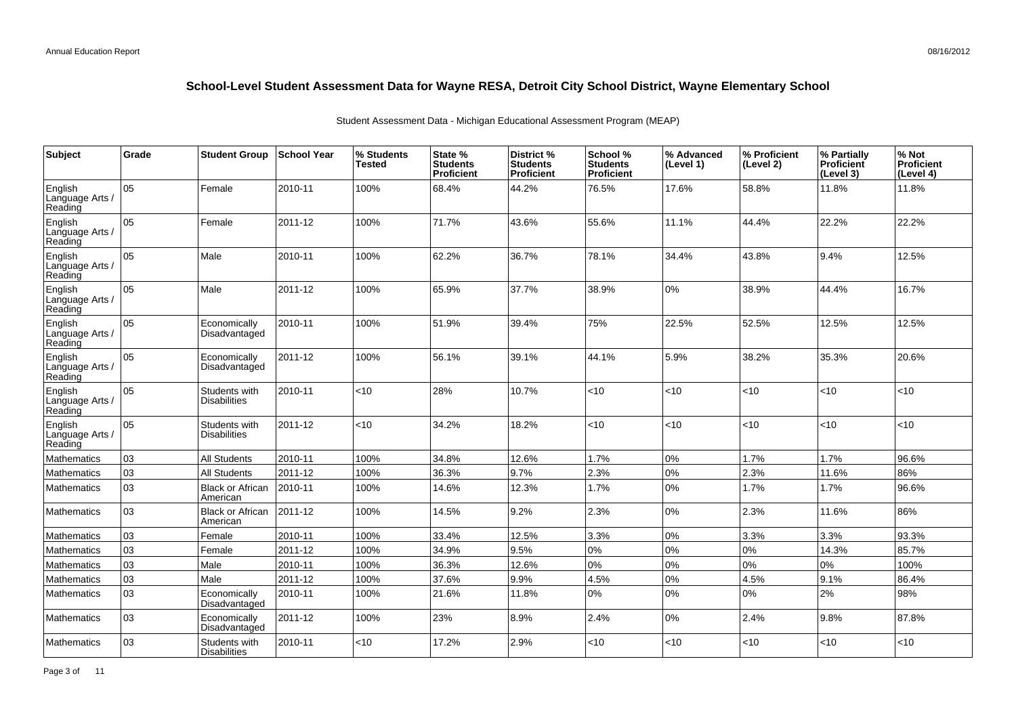| Subject                               | Grade | <b>Student Group</b>                 | School Year | % Students<br><b>Tested</b> | State %<br><b>Students</b><br><b>Proficient</b> | District %<br><b>Students</b><br><b>Proficient</b> | School %<br><b>Students</b><br><b>Proficient</b> | % Advanced<br>(Level 1) | % Proficient<br>(Level 2) | % Partially<br>Proficient<br>(Level 3) | % Not<br><b>Proficient</b><br>(Level 4) |
|---------------------------------------|-------|--------------------------------------|-------------|-----------------------------|-------------------------------------------------|----------------------------------------------------|--------------------------------------------------|-------------------------|---------------------------|----------------------------------------|-----------------------------------------|
| English<br>Language Arts /<br>Reading | 05    | Female                               | 2010-11     | 100%                        | 68.4%                                           | 44.2%                                              | 76.5%                                            | 17.6%                   | 58.8%                     | 11.8%                                  | 11.8%                                   |
| English<br>Language Arts /<br>Reading | 05    | Female                               | 2011-12     | 100%                        | 71.7%                                           | 43.6%                                              | 55.6%                                            | 11.1%                   | 44.4%                     | 22.2%                                  | 22.2%                                   |
| English<br>Language Arts /<br>Reading | 05    | Male                                 | 2010-11     | 100%                        | 62.2%                                           | 36.7%                                              | 78.1%                                            | 34.4%                   | 43.8%                     | 9.4%                                   | 12.5%                                   |
| English<br>Language Arts /<br>Reading | 05    | Male                                 | 2011-12     | 100%                        | 65.9%                                           | 37.7%                                              | 38.9%                                            | 0%                      | 38.9%                     | 44.4%                                  | 16.7%                                   |
| English<br>Language Arts<br>Reading   | 05    | Economically<br>Disadvantaged        | 2010-11     | 100%                        | 51.9%                                           | 39.4%                                              | 75%                                              | 22.5%                   | 52.5%                     | 12.5%                                  | 12.5%                                   |
| English<br>Language Arts<br>Reading   | 05    | Economically<br>Disadvantaged        | 2011-12     | 100%                        | 56.1%                                           | 39.1%                                              | 44.1%                                            | 5.9%                    | 38.2%                     | 35.3%                                  | 20.6%                                   |
| English<br>Language Arts<br>Reading   | 05    | Students with<br><b>Disabilities</b> | 2010-11     | $<$ 10                      | 28%                                             | 10.7%                                              | < 10                                             | <10                     | <10                       | < 10                                   | <10                                     |
| English<br>Language Arts /<br>Reading | 05    | Students with<br><b>Disabilities</b> | 2011-12     | < 10                        | 34.2%                                           | 18.2%                                              | < 10                                             | <10                     | <10                       | < 10                                   | <10                                     |
| Mathematics                           | 03    | <b>All Students</b>                  | 2010-11     | 100%                        | 34.8%                                           | 12.6%                                              | 1.7%                                             | 0%                      | 1.7%                      | 1.7%                                   | 96.6%                                   |
| Mathematics                           | 03    | <b>All Students</b>                  | 2011-12     | 100%                        | 36.3%                                           | 9.7%                                               | 2.3%                                             | 0%                      | 2.3%                      | 11.6%                                  | 86%                                     |
| <b>Mathematics</b>                    | 03    | <b>Black or African</b><br>American  | 2010-11     | 100%                        | 14.6%                                           | 12.3%                                              | 1.7%                                             | 0%                      | 1.7%                      | 1.7%                                   | 96.6%                                   |
| Mathematics                           | 03    | <b>Black or African</b><br>American  | 2011-12     | 100%                        | 14.5%                                           | 9.2%                                               | 2.3%                                             | $0\%$                   | 2.3%                      | 11.6%                                  | 86%                                     |
| <b>Mathematics</b>                    | 03    | Female                               | 2010-11     | 100%                        | 33.4%                                           | 12.5%                                              | 3.3%                                             | 0%                      | 3.3%                      | 3.3%                                   | 93.3%                                   |
| <b>Mathematics</b>                    | 03    | Female                               | 2011-12     | 100%                        | 34.9%                                           | 9.5%                                               | $0\%$                                            | 0%                      | 0%                        | 14.3%                                  | 85.7%                                   |
| Mathematics                           | 03    | Male                                 | 2010-11     | 100%                        | 36.3%                                           | 12.6%                                              | $0\%$                                            | 0%                      | 0%                        | 0%                                     | 100%                                    |
| <b>Mathematics</b>                    | 03    | Male                                 | 2011-12     | 100%                        | 37.6%                                           | 9.9%                                               | 4.5%                                             | 0%                      | 4.5%                      | 9.1%                                   | 86.4%                                   |
| <b>Mathematics</b>                    | 03    | Economically<br>Disadvantaged        | 2010-11     | 100%                        | 21.6%                                           | 11.8%                                              | 0%                                               | 0%                      | 0%                        | 2%                                     | 98%                                     |
| <b>Mathematics</b>                    | 03    | Economically<br>Disadvantaged        | 2011-12     | 100%                        | 23%                                             | 8.9%                                               | 2.4%                                             | 0%                      | 2.4%                      | 9.8%                                   | 87.8%                                   |
| <b>Mathematics</b>                    | 03    | Students with<br><b>Disabilities</b> | 2010-11     | <10                         | 17.2%                                           | 2.9%                                               | < 10                                             | <10                     | <10                       | < 10                                   | <10                                     |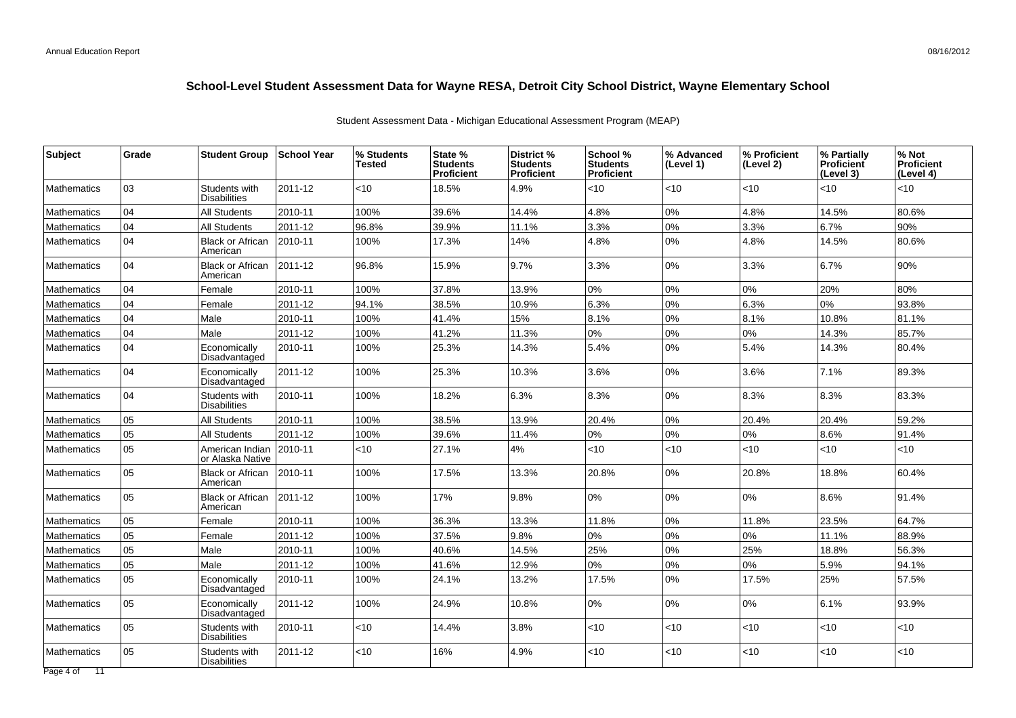| <b>Subject</b>     | Grade | <b>Student Group</b>                 | <b>School Year</b> | % Students<br>Tested | State %<br><b>Students</b><br>Proficient | District %<br><b>Students</b><br><b>Proficient</b> | School %<br><b>Students</b><br>Proficient | % Advanced<br>(Level 1) | % Proficient<br>(Level 2) | % Partially<br><b>Proficient</b><br>(Level 3) | % Not<br><b>Proficient</b><br>(Level 4) |
|--------------------|-------|--------------------------------------|--------------------|----------------------|------------------------------------------|----------------------------------------------------|-------------------------------------------|-------------------------|---------------------------|-----------------------------------------------|-----------------------------------------|
| <b>Mathematics</b> | 03    | Students with<br>Disabilities        | 2011-12            | <10                  | 18.5%                                    | 4.9%                                               | $<$ 10                                    | < 10                    | <10                       | < 10                                          | <10                                     |
| <b>Mathematics</b> | 04    | <b>All Students</b>                  | 2010-11            | 100%                 | 39.6%                                    | 14.4%                                              | 4.8%                                      | 0%                      | 4.8%                      | 14.5%                                         | 80.6%                                   |
| Mathematics        | 04    | <b>All Students</b>                  | 2011-12            | 96.8%                | 39.9%                                    | 11.1%                                              | 3.3%                                      | $0\%$                   | 3.3%                      | 6.7%                                          | 90%                                     |
| <b>Mathematics</b> | 04    | <b>Black or African</b><br>American  | 2010-11            | 100%                 | 17.3%                                    | 14%                                                | 4.8%                                      | 0%                      | 4.8%                      | 14.5%                                         | 80.6%                                   |
| <b>Mathematics</b> | 04    | <b>Black or African</b><br>American  | 2011-12            | 96.8%                | 15.9%                                    | 9.7%                                               | 3.3%                                      | 0%                      | 3.3%                      | 6.7%                                          | 90%                                     |
| <b>Mathematics</b> | 04    | Female                               | 2010-11            | 100%                 | 37.8%                                    | 13.9%                                              | 0%                                        | 0%                      | 0%                        | 20%                                           | 80%                                     |
| <b>Mathematics</b> | 04    | Female                               | 2011-12            | 94.1%                | 38.5%                                    | 10.9%                                              | 6.3%                                      | 0%                      | 6.3%                      | 0%                                            | 93.8%                                   |
| Mathematics        | 04    | Male                                 | 2010-11            | 100%                 | 41.4%                                    | 15%                                                | 8.1%                                      | 0%                      | 8.1%                      | 10.8%                                         | 81.1%                                   |
| <b>Mathematics</b> | 04    | Male                                 | 2011-12            | 100%                 | 41.2%                                    | 11.3%                                              | 0%                                        | 0%                      | 0%                        | 14.3%                                         | 85.7%                                   |
| Mathematics        | 04    | Economically<br>Disadvantaged        | 2010-11            | 100%                 | 25.3%                                    | 14.3%                                              | 5.4%                                      | 0%                      | 5.4%                      | 14.3%                                         | 80.4%                                   |
| <b>Mathematics</b> | 04    | Economically<br>Disadvantaged        | 2011-12            | 100%                 | 25.3%                                    | 10.3%                                              | 3.6%                                      | $0\%$                   | 3.6%                      | 7.1%                                          | 89.3%                                   |
| <b>Mathematics</b> | 04    | Students with<br><b>Disabilities</b> | 2010-11            | 100%                 | 18.2%                                    | 6.3%                                               | 8.3%                                      | 0%                      | 8.3%                      | 8.3%                                          | 83.3%                                   |
| <b>Mathematics</b> | 05    | <b>All Students</b>                  | 2010-11            | 100%                 | 38.5%                                    | 13.9%                                              | 20.4%                                     | 0%                      | 20.4%                     | 20.4%                                         | 59.2%                                   |
| <b>Mathematics</b> | 05    | <b>All Students</b>                  | 2011-12            | 100%                 | 39.6%                                    | 11.4%                                              | 0%                                        | $0\%$                   | 0%                        | 8.6%                                          | 91.4%                                   |
| <b>Mathematics</b> | 05    | American Indian<br>or Alaska Native  | 2010-11            | <10                  | 27.1%                                    | 4%                                                 | $<$ 10                                    | < 10                    | <10                       | $<10$                                         | $<$ 10                                  |
| <b>Mathematics</b> | 05    | <b>Black or African</b><br>American  | 2010-11            | 100%                 | 17.5%                                    | 13.3%                                              | 20.8%                                     | 0%                      | 20.8%                     | 18.8%                                         | 60.4%                                   |
| Mathematics        | 05    | <b>Black or African</b><br>American  | 2011-12            | 100%                 | 17%                                      | 9.8%                                               | $0\%$                                     | 0%                      | 0%                        | 8.6%                                          | 91.4%                                   |
| <b>Mathematics</b> | 05    | Female                               | 2010-11            | 100%                 | 36.3%                                    | 13.3%                                              | 11.8%                                     | $0\%$                   | 11.8%                     | 23.5%                                         | 64.7%                                   |
| <b>Mathematics</b> | 05    | Female                               | 2011-12            | 100%                 | 37.5%                                    | 9.8%                                               | 0%                                        | 0%                      | 0%                        | 11.1%                                         | 88.9%                                   |
| <b>Mathematics</b> | 05    | Male                                 | 2010-11            | 100%                 | 40.6%                                    | 14.5%                                              | 25%                                       | $0\%$                   | 25%                       | 18.8%                                         | 56.3%                                   |
| <b>Mathematics</b> | 05    | Male                                 | 2011-12            | 100%                 | 41.6%                                    | 12.9%                                              | $0\%$                                     | 0%                      | 0%                        | 5.9%                                          | 94.1%                                   |
| <b>Mathematics</b> | 05    | Economically<br>Disadvantaged        | 2010-11            | 100%                 | 24.1%                                    | 13.2%                                              | 17.5%                                     | 0%                      | 17.5%                     | 25%                                           | 57.5%                                   |
| <b>Mathematics</b> | 05    | Economically<br>Disadvantaged        | 2011-12            | 100%                 | 24.9%                                    | 10.8%                                              | 0%                                        | 0%                      | 0%                        | 6.1%                                          | 93.9%                                   |
| <b>Mathematics</b> | 05    | Students with<br><b>Disabilities</b> | 2010-11            | $<$ 10               | 14.4%                                    | 3.8%                                               | $<$ 10                                    | < 10                    | <10                       | < 10                                          | <10                                     |
| <b>Mathematics</b> | l 05  | Students with<br><b>Disabilities</b> | 2011-12            | <10                  | 16%                                      | 4.9%                                               | $<$ 10                                    | < 10                    | $<$ 10                    | $<$ 10                                        | <10                                     |
| Page 4 of 11       |       |                                      |                    |                      |                                          |                                                    |                                           |                         |                           |                                               |                                         |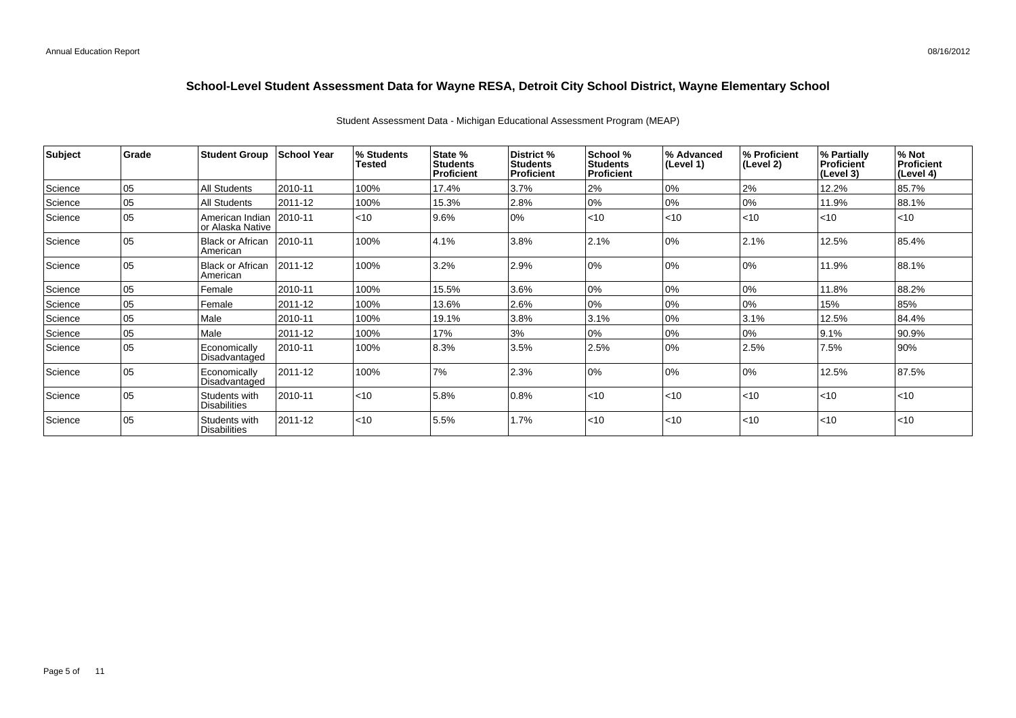| Subject | <b>Grade</b> | <b>Student Group</b>                 | <b>School Year</b> | % Students | State %                              | District %                           | School %                             | % Advanced | % Proficient | % Partially             | % Not                   |
|---------|--------------|--------------------------------------|--------------------|------------|--------------------------------------|--------------------------------------|--------------------------------------|------------|--------------|-------------------------|-------------------------|
|         |              |                                      |                    | Tested     | <b>Students</b><br><b>Proficient</b> | <b>Students</b><br><b>Proficient</b> | <b>Students</b><br><b>Proficient</b> | (Level 1)  | (Level 2)    | Proficient<br>(Level 3) | Proficient<br>(Level 4) |
| Science | 05           | All Students                         | 2010-11            | 100%       | 17.4%                                | 3.7%                                 | 2%                                   | 0%         | 2%           | 12.2%                   | 85.7%                   |
| Science | 05           | All Students                         | 2011-12            | 100%       | 15.3%                                | 2.8%                                 | 0%                                   | 0%         | 0%           | 11.9%                   | 88.1%                   |
| Science | 05           | American Indian<br>or Alaska Native  | 2010-11            | $ $ < 10   | 9.6%                                 | 0%                                   | < 10                                 | < 10       | < 10         | $\leq 10$               | $<$ 10                  |
| Science | 05           | <b>Black or African</b><br>American  | 2010-11            | 100%       | 4.1%                                 | 3.8%                                 | 2.1%                                 | 0%         | 2.1%         | 12.5%                   | 85.4%                   |
| Science | 05           | <b>Black or African</b><br>American  | 2011-12            | 100%       | 3.2%                                 | 2.9%                                 | 0%                                   | 0%         | 10%          | 11.9%                   | 88.1%                   |
| Science | 05           | Female                               | 2010-11            | 100%       | 15.5%                                | 3.6%                                 | 0%                                   | 0%         | 0%           | 11.8%                   | 88.2%                   |
| Science | 05           | Female                               | 2011-12            | 100%       | 13.6%                                | 2.6%                                 | 0%                                   | 0%         | 0%           | 15%                     | 85%                     |
| Science | 05           | Male                                 | 2010-11            | 100%       | 19.1%                                | 3.8%                                 | 3.1%                                 | 0%         | 3.1%         | 12.5%                   | 84.4%                   |
| Science | 05           | Male                                 | 2011-12            | 100%       | 17%                                  | 3%                                   | 0%                                   | 10%        | 0%           | 9.1%                    | 90.9%                   |
| Science | 05           | Economically<br>Disadvantaged        | 2010-11            | 100%       | 8.3%                                 | 3.5%                                 | 2.5%                                 | 10%        | 2.5%         | 7.5%                    | 90%                     |
| Science | 05           | Economically<br>Disadvantaged        | 2011-12            | 100%       | 7%                                   | 2.3%                                 | 0%                                   | 0%         | 10%          | 12.5%                   | 87.5%                   |
| Science | 05           | Students with<br><b>Disabilities</b> | 2010-11            | $ $ < 10   | 5.8%                                 | 0.8%                                 | < 10                                 | < 10       | < 10         | $\leq 10$               | $<$ 10                  |
| Science | 05           | Students with<br><b>Disabilities</b> | 2011-12            | $ $ < 10   | 5.5%                                 | 1.7%                                 | $<$ 10                               | < 10       | < 10         | $\leq 10$               | < 10                    |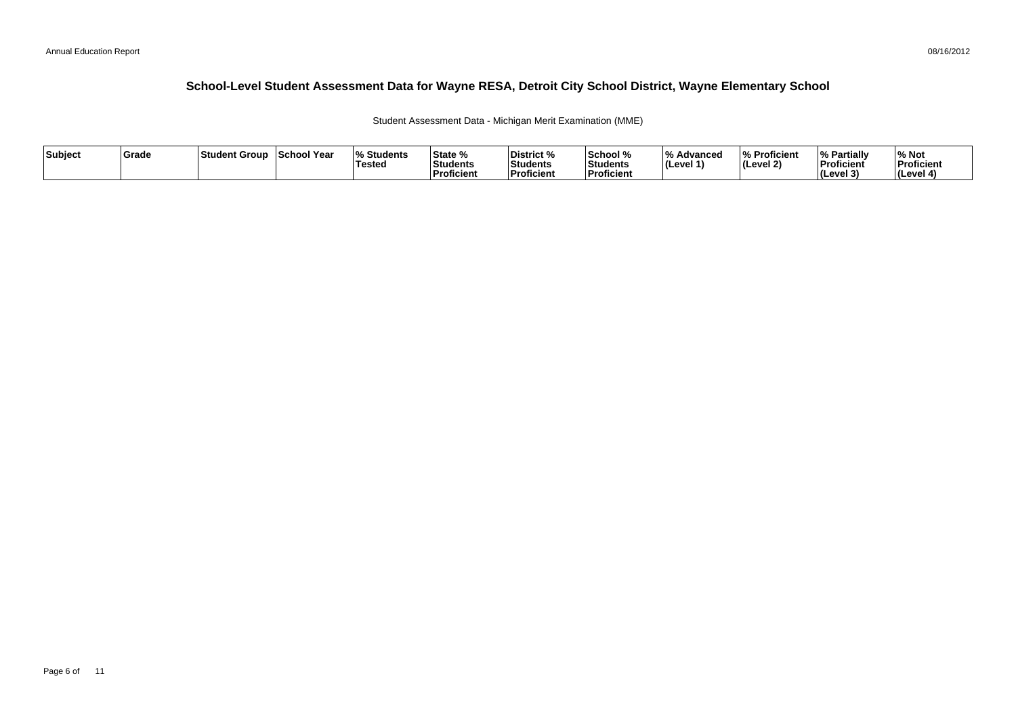Student Assessment Data - Michigan Merit Examination (MME)

| Subject | <b>Grade</b> | ⊺Student Group | School Year | <b>Students</b> l%<br>'Testeo | <b>State %</b><br>Students<br>Proficient | District %<br>Students<br><b>Proficient</b> | School %<br>Students<br>' Proficien. | /۱۵<br>Advanced<br>ILevel 1 | % Proficient<br>(Level 2) | <b>My Partially</b><br>Proficient<br>(Level 3) | % Not<br>Proficient<br>l (Level 4 |
|---------|--------------|----------------|-------------|-------------------------------|------------------------------------------|---------------------------------------------|--------------------------------------|-----------------------------|---------------------------|------------------------------------------------|-----------------------------------|
|---------|--------------|----------------|-------------|-------------------------------|------------------------------------------|---------------------------------------------|--------------------------------------|-----------------------------|---------------------------|------------------------------------------------|-----------------------------------|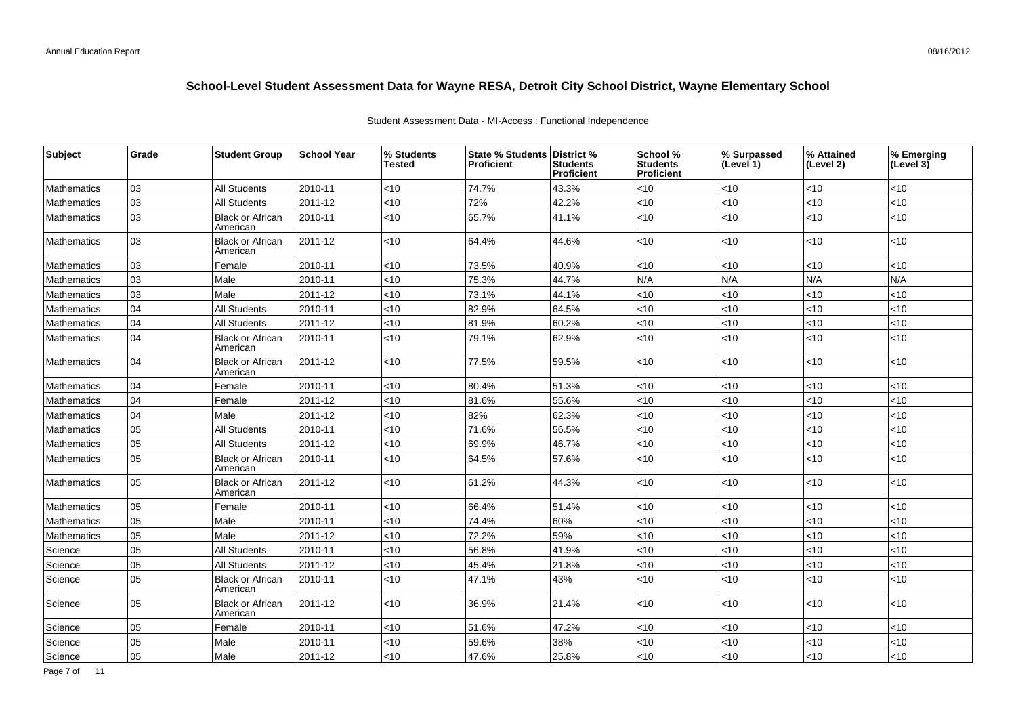|               |                    |                              | Student Assessment Data - MI-Access : Functional Independence |          |                               |                                     |
|---------------|--------------------|------------------------------|---------------------------------------------------------------|----------|-------------------------------|-------------------------------------|
| itudent Group | <b>School Year</b> | <b>∣% Students</b><br>Tactad | <b>State % Students District %</b><br>l Proficiant.           | Studante | <b>School</b> %<br>  Students | <b>∣% Surpassed</b><br>11 امریم ا/ا |

Student Assessment Data - MI-Access : Functional Independence

| Subject            | Grade | <b>Student Group</b>                | <b>School Year</b> | % Students<br><b>Tested</b> | State % Students District %<br><b>Proficient</b> | <b>Students</b><br><b>Proficient</b> | School %<br><b>Students</b><br>Proficient | % Surpassed<br>(Level 1) | % Attained<br>(Level 2) | % Emerging<br>(Level 3) |
|--------------------|-------|-------------------------------------|--------------------|-----------------------------|--------------------------------------------------|--------------------------------------|-------------------------------------------|--------------------------|-------------------------|-------------------------|
| Mathematics        | 03    | <b>All Students</b>                 | 2010-11            | < 10                        | 74.7%                                            | 43.3%                                | $<$ 10                                    | <10                      | $<$ 10                  | $<$ 10                  |
| <b>Mathematics</b> | 03    | <b>All Students</b>                 | 2011-12            | <10                         | 72%                                              | 42.2%                                | <10                                       | <10                      | $<$ 10                  | <10                     |
| Mathematics        | 03    | <b>Black or African</b><br>American | 2010-11            | < 10                        | 65.7%                                            | 41.1%                                | $<$ 10                                    | <10                      | $<$ 10                  | <10                     |
| <b>Mathematics</b> | 03    | <b>Black or African</b><br>American | 2011-12            | < 10                        | 64.4%                                            | 44.6%                                | $<$ 10                                    | $<$ 10                   | <10                     | <10                     |
| Mathematics        | 03    | Female                              | 2010-11            | <10                         | 73.5%                                            | 40.9%                                | <10                                       | <10                      | <10                     | <10                     |
| Mathematics        | 03    | Male                                | 2010-11            | < 10                        | 75.3%                                            | 44.7%                                | N/A                                       | N/A                      | N/A                     | N/A                     |
| Mathematics        | 03    | Male                                | 2011-12            | < 10                        | 73.1%                                            | 44.1%                                | $<$ 10                                    | <10                      | <10                     | $<$ 10                  |
| Mathematics        | 04    | All Students                        | 2010-11            | < 10                        | 82.9%                                            | 64.5%                                | $<$ 10                                    | <10                      | <10                     | $<$ 10                  |
| Mathematics        | 04    | <b>All Students</b>                 | 2011-12            | < 10                        | 81.9%                                            | 60.2%                                | < 10                                      | <10                      | $<$ 10                  | $<$ 10                  |
| Mathematics        | 04    | <b>Black or African</b><br>American | 2010-11            | <10                         | 79.1%                                            | 62.9%                                | $<$ 10                                    | <10                      | <10                     | $<$ 10                  |
| <b>Mathematics</b> | 04    | <b>Black or African</b><br>American | 2011-12            | < 10                        | 77.5%                                            | 59.5%                                | $<$ 10                                    | <10                      | $<$ 10                  | <10                     |
| Mathematics        | 04    | Female                              | 2010-11            | < 10                        | 80.4%                                            | 51.3%                                | $<$ 10                                    | <10                      | <10                     | < 10                    |
| Mathematics        | 04    | Female                              | 2011-12            | < 10                        | 81.6%                                            | 55.6%                                | < 10                                      | <10                      | $<10$                   | <10                     |
| Mathematics        | 04    | Male                                | 2011-12            | <10                         | 82%                                              | 62.3%                                | < 10                                      | <10                      | <10                     | < 10                    |
| Mathematics        | 05    | <b>All Students</b>                 | 2010-11            | < 10                        | 71.6%                                            | 56.5%                                | < 10                                      | <10                      | <10                     | <10                     |
| Mathematics        | 05    | <b>All Students</b>                 | 2011-12            | <10                         | 69.9%                                            | 46.7%                                | <10                                       | <10                      | <10                     | <10                     |
| <b>Mathematics</b> | 05    | <b>Black or African</b><br>American | 2010-11            | < 10                        | 64.5%                                            | 57.6%                                | $<$ 10                                    | <10                      | <10                     | <10                     |
| Mathematics        | 05    | <b>Black or African</b><br>American | 2011-12            | $<$ 10                      | 61.2%                                            | 44.3%                                | $<$ 10                                    | <10                      | <10                     | <10                     |
| Mathematics        | 05    | Female                              | 2010-11            | <10                         | 66.4%                                            | 51.4%                                | $<$ 10                                    | <10                      | <10                     | $<$ 10                  |
| Mathematics        | 05    | Male                                | 2010-11            | < 10                        | 74.4%                                            | 60%                                  | < 10                                      | <10                      | $<10$                   | < 10                    |
| Mathematics        | 05    | Male                                | 2011-12            | < 10                        | 72.2%                                            | 59%                                  | < 10                                      | 10                       | <10                     | <10                     |
| Science            | 05    | <b>All Students</b>                 | 2010-11            | <10                         | 56.8%                                            | 41.9%                                | <10                                       | <10                      | $<$ 10                  | <10                     |
| Science            | 05    | <b>All Students</b>                 | 2011-12            | < 10                        | 45.4%                                            | 21.8%                                | < 10                                      | <10                      | <10                     | <10                     |
| Science            | 05    | <b>Black or African</b><br>American | 2010-11            | < 10                        | 47.1%                                            | 43%                                  | $<$ 10                                    | <10                      | $<$ 10                  | <10                     |
| Science            | 05    | <b>Black or African</b><br>American | 2011-12            | < 10                        | 36.9%                                            | 21.4%                                | $<$ 10                                    | <10                      | <10                     | <10                     |
| Science            | 05    | Female                              | 2010-11            | < 10                        | 51.6%                                            | 47.2%                                | $<$ 10                                    | <10                      | <10                     | <10                     |
| Science            | 05    | Male                                | 2010-11            | < 10                        | 59.6%                                            | 38%                                  | < 10                                      | <10                      | < 10                    | <10                     |
| Science            | 05    | Male                                | 2011-12            | < 10                        | 47.6%                                            | 25.8%                                | $<$ 10                                    | <10                      | <10                     | $<$ 10                  |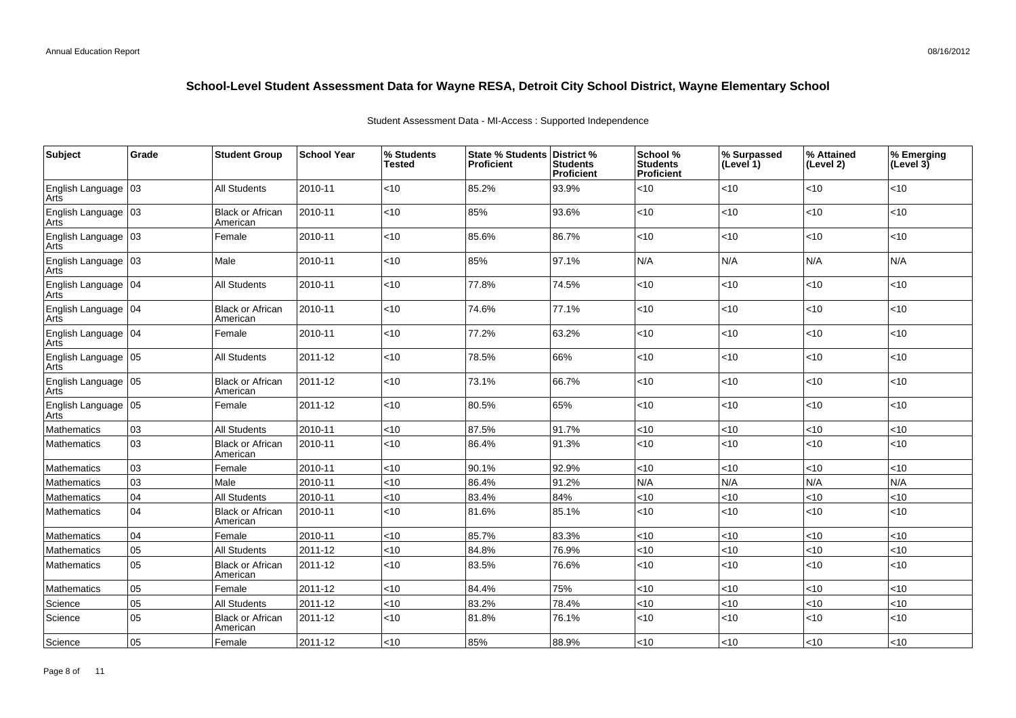| Subject                       | Grade        | <b>Student Group</b>                | <b>School Year</b> | % Students<br>Tested | <b>State % Students</b><br><b>Proficient</b> | District %<br><b>Students</b><br>Proficient | School %<br><b>Students</b><br><b>Proficient</b> | % Surpassed<br>(Level 1) | % Attained<br>(Level 2) | % Emerging<br>(Level 3) |
|-------------------------------|--------------|-------------------------------------|--------------------|----------------------|----------------------------------------------|---------------------------------------------|--------------------------------------------------|--------------------------|-------------------------|-------------------------|
| English Language<br>Arts      | 03           | <b>All Students</b>                 | 2010-11            | $<$ 10               | 85.2%                                        | 93.9%                                       | < 10                                             | < 10                     | $<$ 10                  | $<$ 10                  |
| English Language<br>Arts      | $ 03\rangle$ | <b>Black or African</b><br>American | 2010-11            | < 10                 | 85%                                          | 93.6%                                       | < 10                                             | < 10                     | < 10                    | $<$ 10                  |
| English Language<br>Arts      | 03           | Female                              | 2010-11            | < 10                 | 85.6%                                        | 86.7%                                       | < 10                                             | < 10                     | < 10                    | $<$ 10                  |
| English Language<br>Arts      | 03           | Male                                | 2010-11            | $<$ 10               | 85%                                          | 97.1%                                       | N/A                                              | N/A                      | N/A                     | N/A                     |
| English Language   04<br>Arts |              | <b>All Students</b>                 | 2010-11            | <10                  | 77.8%                                        | 74.5%                                       | < 10                                             | < 10                     | < 10                    | $<$ 10                  |
| English Language 104<br>Arts  |              | <b>Black or African</b><br>American | 2010-11            | < 10                 | 74.6%                                        | 77.1%                                       | < 10                                             | < 10                     | < 10                    | $<$ 10                  |
| English Language   04<br>Arts |              | Female                              | 2010-11            | <10                  | 77.2%                                        | 63.2%                                       | <10                                              | $<10$                    | < 10                    | $<$ 10                  |
| English Language<br>Arts      | 05           | <b>All Students</b>                 | 2011-12            | <10                  | 78.5%                                        | 66%                                         | < 10                                             | < 10                     | $<10$                   | $<$ 10                  |
| English Language<br>Arts      | 05           | <b>Black or African</b><br>American | 2011-12            | $<10$                | 73.1%                                        | 66.7%                                       | $<$ 10                                           | < 10                     | < 10                    | $<$ 10                  |
| English Language<br>Arts      | 05           | Female                              | 2011-12            | <10                  | 80.5%                                        | 65%                                         | < 10                                             | <10                      | < 10                    | $<$ 10                  |
| Mathematics                   | 03           | <b>All Students</b>                 | 2010-11            | <10                  | 87.5%                                        | 91.7%                                       | <10                                              | $<10$                    | $<10$                   | <10                     |
| Mathematics                   | 03           | <b>Black or African</b><br>American | 2010-11            | < 10                 | 86.4%                                        | 91.3%                                       | < 10                                             | $<10$                    | < 10                    | < 10                    |
| Mathematics                   | 03           | Female                              | 2010-11            | $<$ 10               | 90.1%                                        | 92.9%                                       | < 10                                             | <10                      | < 10                    | $<$ 10                  |
| Mathematics                   | 03           | Male                                | 2010-11            | < 10                 | 86.4%                                        | 91.2%                                       | N/A                                              | N/A                      | N/A                     | N/A                     |
| Mathematics                   | 04           | <b>All Students</b>                 | 2010-11            | < 10                 | 83.4%                                        | 84%                                         | < 10                                             | < 10                     | < 10                    | $<$ 10                  |
| Mathematics                   | 04           | <b>Black or African</b><br>American | 2010-11            | < 10                 | 81.6%                                        | 85.1%                                       | <10                                              | $<$ 10                   | <10                     | $<$ 10                  |
| Mathematics                   | 04           | Female                              | 2010-11            | < 10                 | 85.7%                                        | 83.3%                                       | < 10                                             | < 10                     | < 10                    | $<$ 10                  |
| Mathematics                   | 05           | <b>All Students</b>                 | 2011-12            | < 10                 | 84.8%                                        | 76.9%                                       | <10                                              | <10                      | < 10                    | $<$ 10                  |
| Mathematics                   | 05           | <b>Black or African</b><br>American | 2011-12            | < 10                 | 83.5%                                        | 76.6%                                       | < 10                                             | < 10                     | < 10                    | $<$ 10                  |
| Mathematics                   | 05           | Female                              | 2011-12            | < 10                 | 84.4%                                        | 75%                                         | < 10                                             | <10                      | $<$ 10                  | $<$ 10                  |
| Science                       | 05           | <b>All Students</b>                 | 2011-12            | < 10                 | 83.2%                                        | 78.4%                                       | < 10                                             | < 10                     | < 10                    | $<$ 10                  |
| Science                       | 05           | <b>Black or African</b><br>American | 2011-12            | $<$ 10               | 81.8%                                        | 76.1%                                       | < 10                                             | < 10                     | < 10                    | $<$ 10                  |
| Science                       | 05           | Female                              | 2011-12            | <10                  | 85%                                          | 88.9%                                       | < 10                                             | < 10                     | < 10                    | < 10                    |

Student Assessment Data - MI-Access : Supported Independence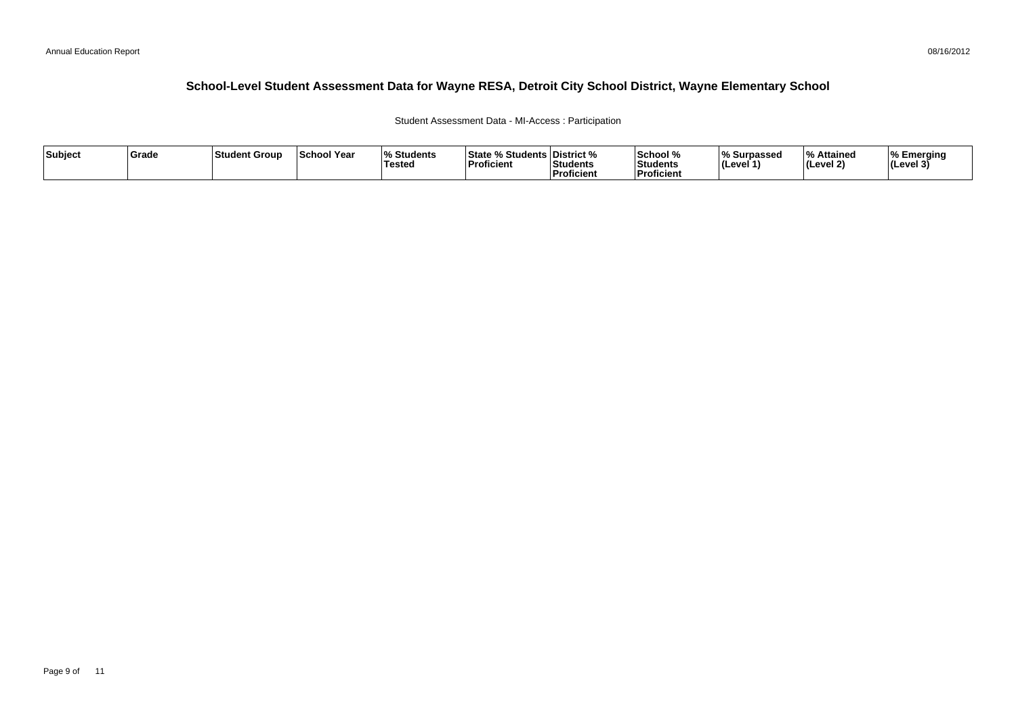#### 08/16/2012

## **School-Level Student Assessment Data for Wayne RESA, Detroit City School District, Wayne Elementary School**

### Student Assessment Data - MI-Access : Participation

| Subject | ∣Grade | ⊺Student Group | <b>School Year</b> | $\overline{\mathbf{0}}$<br>Students ،<br>Tested | State % Students District %<br>Proficient | Students<br>Proficient | School %<br>Students<br><b>Proficient</b> | % Surpassed<br><b>I</b> (Level · | % Attained<br>(Level 2) | <b>I% Emerging</b><br> (Level 3) |
|---------|--------|----------------|--------------------|-------------------------------------------------|-------------------------------------------|------------------------|-------------------------------------------|----------------------------------|-------------------------|----------------------------------|
|---------|--------|----------------|--------------------|-------------------------------------------------|-------------------------------------------|------------------------|-------------------------------------------|----------------------------------|-------------------------|----------------------------------|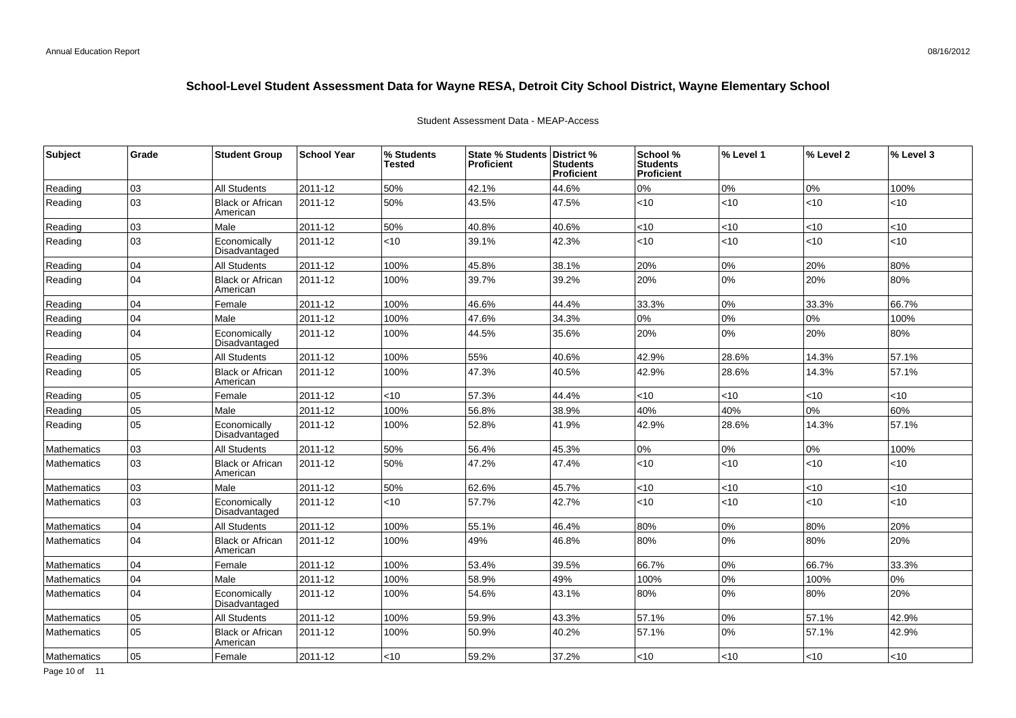| <b>Subject</b>     | Grade | <b>Student Group</b>                | <b>School Year</b> | % Students<br>Tested | State % Students District %<br><b>Proficient</b> | <b>Students</b><br>Proficient | School %<br><b>Students</b><br><b>Proficient</b> | % Level 1 | % Level 2 | % Level 3 |
|--------------------|-------|-------------------------------------|--------------------|----------------------|--------------------------------------------------|-------------------------------|--------------------------------------------------|-----------|-----------|-----------|
| Reading            | 03    | <b>All Students</b>                 | 2011-12            | 50%                  | 42.1%                                            | 44.6%                         | 0%                                               | 0%        | 0%        | 100%      |
| Reading            | 03    | <b>Black or African</b><br>American | 2011-12            | 50%                  | 43.5%                                            | 47.5%                         | < 10                                             | <10       | <10       | <10       |
| Reading            | 03    | Male                                | 2011-12            | 50%                  | 40.8%                                            | 40.6%                         | $<$ 10                                           | $<$ 10    | <10       | $<$ 10    |
| Reading            | 03    | Economically<br>Disadvantaged       | 2011-12            | <10                  | 39.1%                                            | 42.3%                         | $<$ 10                                           | $<$ 10    | <10       | $<$ 10    |
| Reading            | 04    | <b>All Students</b>                 | 2011-12            | 100%                 | 45.8%                                            | 38.1%                         | 20%                                              | 0%        | 20%       | 80%       |
| Reading            | 04    | <b>Black or African</b><br>American | 2011-12            | 100%                 | 39.7%                                            | 39.2%                         | 20%                                              | 0%        | 20%       | 80%       |
| Reading            | 04    | Female                              | 2011-12            | 100%                 | 46.6%                                            | 44.4%                         | 33.3%                                            | 0%        | 33.3%     | 66.7%     |
| Reading            | 04    | Male                                | 2011-12            | 100%                 | 47.6%                                            | 34.3%                         | 0%                                               | 0%        | 0%        | 100%      |
| Reading            | 04    | Economically<br>Disadvantaged       | 2011-12            | 100%                 | 44.5%                                            | 35.6%                         | 20%                                              | 0%        | 20%       | 80%       |
| Reading            | 05    | <b>All Students</b>                 | 2011-12            | 100%                 | 55%                                              | 40.6%                         | 42.9%                                            | 28.6%     | 14.3%     | 57.1%     |
| Reading            | 05    | <b>Black or African</b><br>American | 2011-12            | 100%                 | 47.3%                                            | 40.5%                         | 42.9%                                            | 28.6%     | 14.3%     | 57.1%     |
| Reading            | 05    | Female                              | 2011-12            | <10                  | 57.3%                                            | 44.4%                         | $<$ 10                                           | <10       | <10       | $<$ 10    |
| Reading            | 05    | Male                                | 2011-12            | 100%                 | 56.8%                                            | 38.9%                         | 40%                                              | 40%       | 0%        | 60%       |
| Reading            | 05    | Economically<br>Disadvantaged       | 2011-12            | 100%                 | 52.8%                                            | 41.9%                         | 42.9%                                            | 28.6%     | 14.3%     | 57.1%     |
| <b>Mathematics</b> | 03    | <b>All Students</b>                 | 2011-12            | 50%                  | 56.4%                                            | 45.3%                         | 0%                                               | 0%        | 0%        | 100%      |
| <b>Mathematics</b> | 03    | <b>Black or African</b><br>American | 2011-12            | 50%                  | 47.2%                                            | 47.4%                         | $<$ 10                                           | <10       | <10       | <10       |
| Mathematics        | 03    | Male                                | 2011-12            | 50%                  | 62.6%                                            | 45.7%                         | $<$ 10                                           | <10       | <10       | $<$ 10    |
| <b>Mathematics</b> | 03    | Economically<br>Disadvantaged       | 2011-12            | <10                  | 57.7%                                            | 42.7%                         | $<$ 10                                           | <10       | <10       | $<$ 10    |
| <b>Mathematics</b> | 04    | <b>All Students</b>                 | 2011-12            | 100%                 | 55.1%                                            | 46.4%                         | 80%                                              | 0%        | 80%       | 20%       |
| <b>Mathematics</b> | 04    | <b>Black or African</b><br>American | 2011-12            | 100%                 | 49%                                              | 46.8%                         | 80%                                              | 0%        | 80%       | 20%       |
| Mathematics        | 04    | Female                              | 2011-12            | 100%                 | 53.4%                                            | 39.5%                         | 66.7%                                            | 0%        | 66.7%     | 33.3%     |
| <b>Mathematics</b> | 04    | Male                                | 2011-12            | 100%                 | 58.9%                                            | 49%                           | 100%                                             | 0%        | 100%      | 0%        |
| <b>Mathematics</b> | 04    | Economically<br>Disadvantaged       | 2011-12            | 100%                 | 54.6%                                            | 43.1%                         | 80%                                              | 0%        | 80%       | 20%       |
| <b>Mathematics</b> | 05    | <b>All Students</b>                 | 2011-12            | 100%                 | 59.9%                                            | 43.3%                         | 57.1%                                            | 0%        | 57.1%     | 42.9%     |
| <b>Mathematics</b> | 05    | <b>Black or African</b><br>American | 2011-12            | 100%                 | 50.9%                                            | 40.2%                         | 57.1%                                            | 0%        | 57.1%     | 42.9%     |
| Mathematics        | 05    | Female                              | 2011-12            | <10                  | 59.2%                                            | 37.2%                         | $<$ 10                                           | <10       | <10       | $<$ 10    |

### Student Assessment Data - MEAP-Access

Page 10 of 11